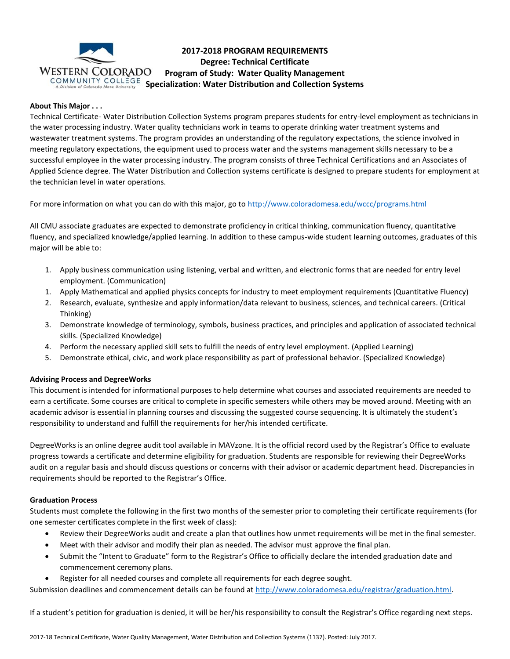

# **2017-2018 PROGRAM REQUIREMENTS Degree: Technical Certificate Program of Study: Water Quality Management** COMMUNITY COLLEGE Specialization: Water Distribution and Collection Systems

## **About This Major . . .**

Technical Certificate- Water Distribution Collection Systems program prepares students for entry-level employment as technicians in the water processing industry. Water quality technicians work in teams to operate drinking water treatment systems and wastewater treatment systems. The program provides an understanding of the regulatory expectations, the science involved in meeting regulatory expectations, the equipment used to process water and the systems management skills necessary to be a successful employee in the water processing industry. The program consists of three Technical Certifications and an Associates of Applied Science degree. The Water Distribution and Collection systems certificate is designed to prepare students for employment at the technician level in water operations.

For more information on what you can do with this major, go to<http://www.coloradomesa.edu/wccc/programs.html>

All CMU associate graduates are expected to demonstrate proficiency in critical thinking, communication fluency, quantitative fluency, and specialized knowledge/applied learning. In addition to these campus-wide student learning outcomes, graduates of this major will be able to:

- 1. Apply business communication using listening, verbal and written, and electronic forms that are needed for entry level employment. (Communication)
- 1. Apply Mathematical and applied physics concepts for industry to meet employment requirements (Quantitative Fluency)
- 2. Research, evaluate, synthesize and apply information/data relevant to business, sciences, and technical careers. (Critical Thinking)
- 3. Demonstrate knowledge of terminology, symbols, business practices, and principles and application of associated technical skills. (Specialized Knowledge)
- 4. Perform the necessary applied skill sets to fulfill the needs of entry level employment. (Applied Learning)
- 5. Demonstrate ethical, civic, and work place responsibility as part of professional behavior. (Specialized Knowledge)

## **Advising Process and DegreeWorks**

This document is intended for informational purposes to help determine what courses and associated requirements are needed to earn a certificate. Some courses are critical to complete in specific semesters while others may be moved around. Meeting with an academic advisor is essential in planning courses and discussing the suggested course sequencing. It is ultimately the student's responsibility to understand and fulfill the requirements for her/his intended certificate.

DegreeWorks is an online degree audit tool available in MAVzone. It is the official record used by the Registrar's Office to evaluate progress towards a certificate and determine eligibility for graduation. Students are responsible for reviewing their DegreeWorks audit on a regular basis and should discuss questions or concerns with their advisor or academic department head. Discrepancies in requirements should be reported to the Registrar's Office.

## **Graduation Process**

Students must complete the following in the first two months of the semester prior to completing their certificate requirements (for one semester certificates complete in the first week of class):

- Review their DegreeWorks audit and create a plan that outlines how unmet requirements will be met in the final semester.
- Meet with their advisor and modify their plan as needed. The advisor must approve the final plan.
- Submit the "Intent to Graduate" form to the Registrar's Office to officially declare the intended graduation date and commencement ceremony plans.
- Register for all needed courses and complete all requirements for each degree sought.

Submission deadlines and commencement details can be found at [http://www.coloradomesa.edu/registrar/graduation.html.](http://www.coloradomesa.edu/registrar/graduation.html)

If a student's petition for graduation is denied, it will be her/his responsibility to consult the Registrar's Office regarding next steps.